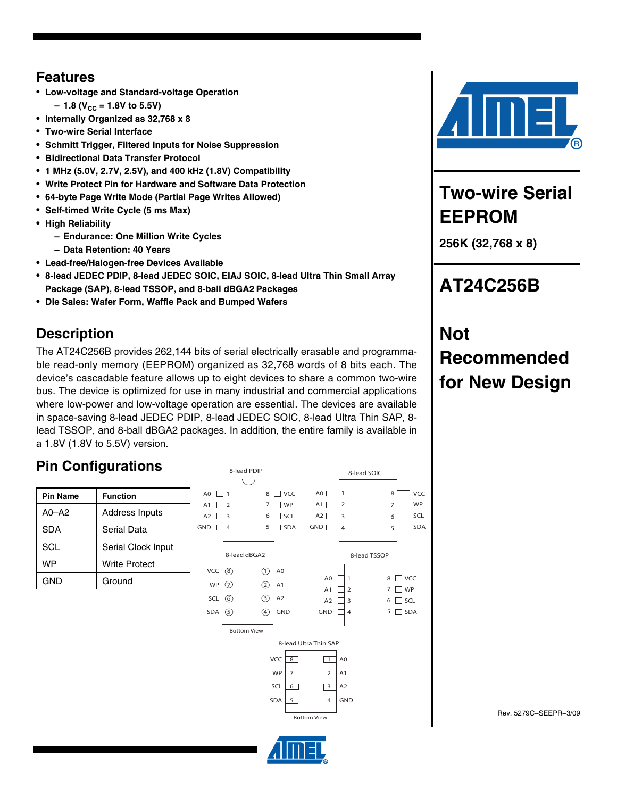## **Features**

- **Low-voltage and Standard-voltage Operation**
	- $-1.8$  (V<sub>CC</sub> = 1.8V to 5.5V)
- **Internally Organized as 32,768 x 8**
- **Two-wire Serial Interface**
- **Schmitt Trigger, Filtered Inputs for Noise Suppression**
- **Bidirectional Data Transfer Protocol**
- **1 MHz (5.0V, 2.7V, 2.5V), and 400 kHz (1.8V) Compatibility**
- **Write Protect Pin for Hardware and Software Data Protection**
- **64-byte Page Write Mode (Partial Page Writes Allowed)**
- **Self-timed Write Cycle (5 ms Max)**
- **High Reliability**
	- **Endurance: One Million Write Cycles**
	- **Data Retention: 40 Years**
- **Lead-free/Halogen-free Devices Available**
- **8-lead JEDEC PDIP, 8-lead JEDEC SOIC, EIAJ SOIC, 8-lead Ultra Thin Small Array Package (SAP), 8-lead TSSOP, and 8-ball dBGA2 Packages**
- **Die Sales: Wafer Form, Waffle Pack and Bumped Wafers**

## **Description**

The AT24C256B provides 262,144 bits of serial electrically erasable and programmable read-only memory (EEPROM) organized as 32,768 words of 8 bits each. The device's cascadable feature allows up to eight devices to share a common two-wire bus. The device is optimized for use in many industrial and commercial applications where low-power and low-voltage operation are essential. The devices are available in space-saving 8-lead JEDEC PDIP, 8-lead JEDEC SOIC, 8-lead Ultra Thin SAP, 8 lead TSSOP, and 8-ball dBGA2 packages. In addition, the entire family is available in a 1.8V (1.8V to 5.5V) version.

## **Pin Configurations**

| <b>Pin Name</b> | <b>Function</b>       |   |
|-----------------|-----------------------|---|
| $A0 - A2$       | <b>Address Inputs</b> |   |
| <b>SDA</b>      | Serial Data           | C |
| <b>SCL</b>      | Serial Clock Input    |   |
| WP              | Write Protect         |   |
| GND             | Ground                |   |





# **Two-wire Serial EEPROM**

**256K (32,768 x 8)**

# **AT24C256B**

# **Not Recommended for New Design**

Rev. 5279C–SEEPR–3/09

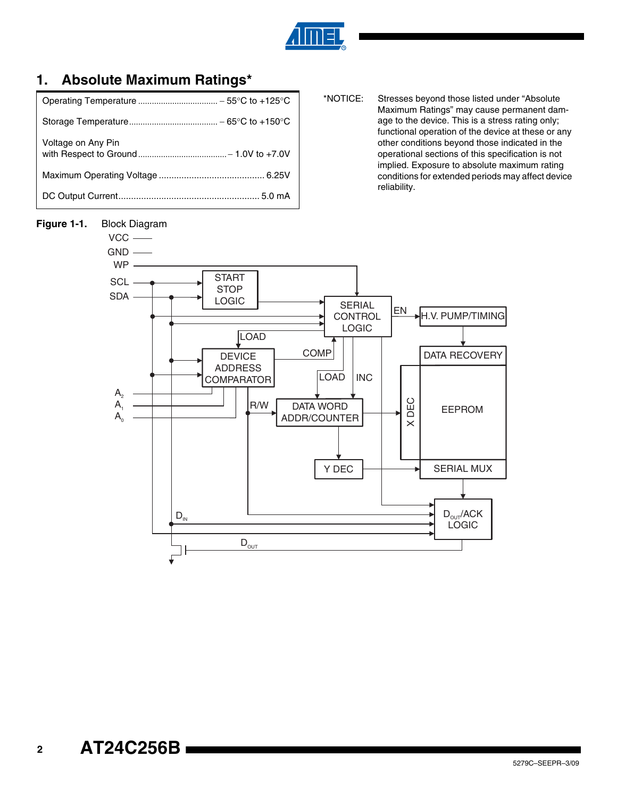

## **1. Absolute Maximum Ratings\***

| Voltage on Any Pin |
|--------------------|
|                    |
|                    |

\*NOTICE: Stresses beyond those listed under "Absolute Maximum Ratings" may cause permanent damage to the device. This is a stress rating only; functional operation of the device at these or any other conditions beyond those indicated in the operational sections of this specification is not implied. Exposure to absolute maximum rating conditions for extended periods may affect device reliability.



#### **Figure 1-1.** Block Diagram

#### **2 AT24C256B**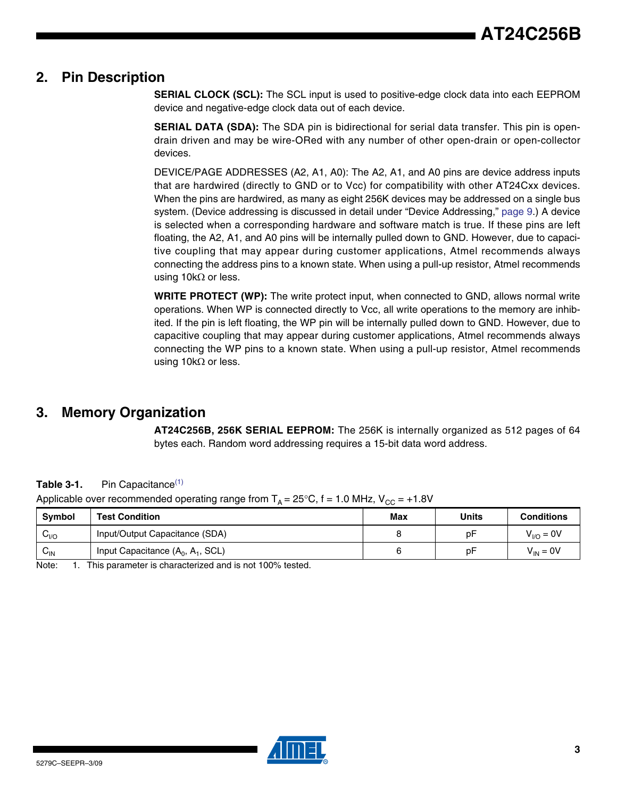#### **2. Pin Description**

**SERIAL CLOCK (SCL):** The SCL input is used to positive-edge clock data into each EEPROM device and negative-edge clock data out of each device.

**SERIAL DATA (SDA):** The SDA pin is bidirectional for serial data transfer. This pin is opendrain driven and may be wire-ORed with any number of other open-drain or open-collector devices.

DEVICE/PAGE ADDRESSES (A2, A1, A0): The A2, A1, and A0 pins are device address inputs that are hardwired (directly to GND or to Vcc) for compatibility with other AT24Cxx devices. When the pins are hardwired, as many as eight 256K devices may be addressed on a single bus system. (Device addressing is discussed in detail under "Device Addressing," [page 9.](#page-8-0)) A device is selected when a corresponding hardware and software match is true. If these pins are left floating, the A2, A1, and A0 pins will be internally pulled down to GND. However, due to capacitive coupling that may appear during customer applications, Atmel recommends always connecting the address pins to a known state. When using a pull-up resistor, Atmel recommends using 10k $\Omega$  or less.

**WRITE PROTECT (WP):** The write protect input, when connected to GND, allows normal write operations. When WP is connected directly to Vcc, all write operations to the memory are inhibited. If the pin is left floating, the WP pin will be internally pulled down to GND. However, due to capacitive coupling that may appear during customer applications, Atmel recommends always connecting the WP pins to a known state. When using a pull-up resistor, Atmel recommends using 10k $\Omega$  or less.

## **3. Memory Organization**

**AT24C256B, 256K SERIAL EEPROM:** The 256K is internally organized as 512 pages of 64 bytes each. Random word addressing requires a 15-bit data word address.

#### **Table 3-1.** Pin Capacitance<sup>[\(1\)](#page-2-0)</sup>

Applicable over recommended operating range from  $T_A = 25^{\circ}C$ , f = 1.0 MHz,  $V_{CC} = +1.8V$ 

| <b>Symbol</b>   | <b>Test Condition</b>               | Max | Units | <b>Conditions</b> |
|-----------------|-------------------------------------|-----|-------|-------------------|
| ∪∣∨             | Input/Output Capacitance (SDA)      |     | рF    | $V_{VQ} = 0V$     |
| $V_{\text{IN}}$ | Input Capacitance $(A_0, A_1, SCL)$ |     | рF    | $V_{IN} = 0V$     |

<span id="page-2-0"></span>Note: 1. This parameter is characterized and is not 100% tested.

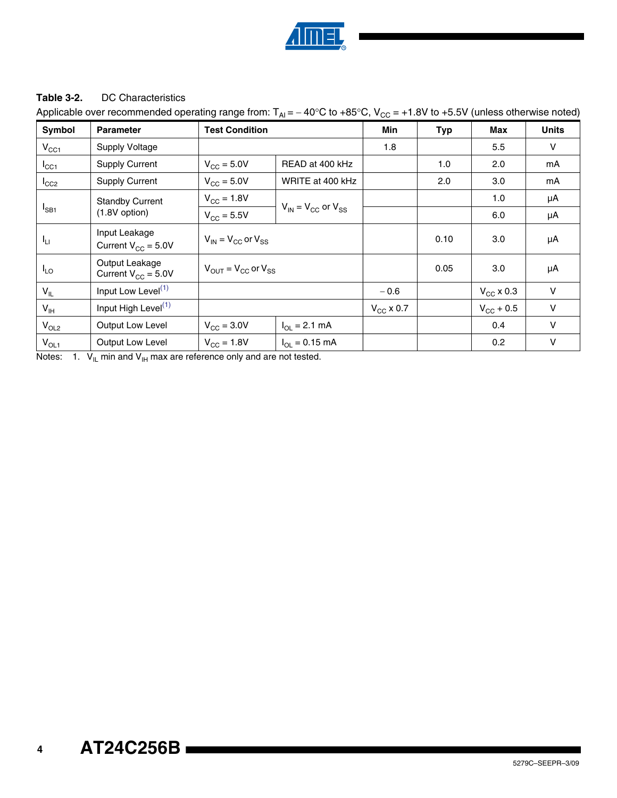

#### **Table 3-2.** DC Characteristics

Applicable over recommended operating range from:  $T_{Al} = -40^{\circ}$ C to +85°C,  $V_{CC} = +1.8V$  to +5.5V (unless otherwise noted)

| Symbol        | <b>Parameter</b>                          | <b>Test Condition</b>                               |                                  | Min            | <b>Typ</b> | <b>Max</b>         | <b>Units</b> |
|---------------|-------------------------------------------|-----------------------------------------------------|----------------------------------|----------------|------------|--------------------|--------------|
| $V_{CC1}$     | <b>Supply Voltage</b>                     |                                                     |                                  | 1.8            |            | 5.5                | V            |
| $I_{\rm CC1}$ | <b>Supply Current</b>                     | $V_{\text{CC}} = 5.0V$                              | READ at 400 kHz                  |                | 1.0        | 2.0                | mA           |
| $I_{CC2}$     | <b>Supply Current</b>                     | $V_{\text{CC}} = 5.0V$                              | WRITE at 400 kHz                 |                | 2.0        | 3.0                | mA           |
|               | <b>Standby Current</b>                    | $V_{\rm CC} = 1.8V$                                 |                                  |                |            | 1.0                | μA           |
| $I_{SB1}$     | $(1.8V$ option)                           | $V_{\text{CC}} = 5.5V$                              | $V_{IN}$ = $V_{CC}$ or $V_{SS}$  |                |            | 6.0                | μA           |
| $I_{LI}$      | Input Leakage<br>Current $V_{CC} = 5.0V$  | $V_{IN}$ = $V_{CC}$ or $V_{SS}$                     |                                  |                | 0.10       | 3.0                | μA           |
| $I_{LO}$      | Output Leakage<br>Current $V_{CC} = 5.0V$ | $V_{\text{OUT}} = V_{\text{CC}}$ or $V_{\text{SS}}$ |                                  |                | 0.05       | 3.0                | μA           |
| $V_{IL}$      | Input Low Level <sup>(1)</sup>            |                                                     |                                  | $-0.6$         |            | $V_{CC}$ x 0.3     | $\vee$       |
| $V_{IH}$      | Input High Level $(1)$                    |                                                     |                                  | $V_{CC}$ x 0.7 |            | $V_{\rm CC}$ + 0.5 | $\vee$       |
| $V_{OL2}$     | Output Low Level                          | $V_{\rm CC}$ = 3.0V                                 | $I_{\text{O1}} = 2.1 \text{ mA}$ |                |            | 0.4                | $\vee$       |
| $V_{OL1}$     | Output Low Level                          | $V_{\rm CC} = 1.8V$                                 | $I_{OL} = 0.15$ mA               |                |            | 0.2                | V            |

<span id="page-3-0"></span>Notes: 1.  $V_{\parallel}$  min and  $V_{\parallel H}$  max are reference only and are not tested.

#### **4 AT24C256B**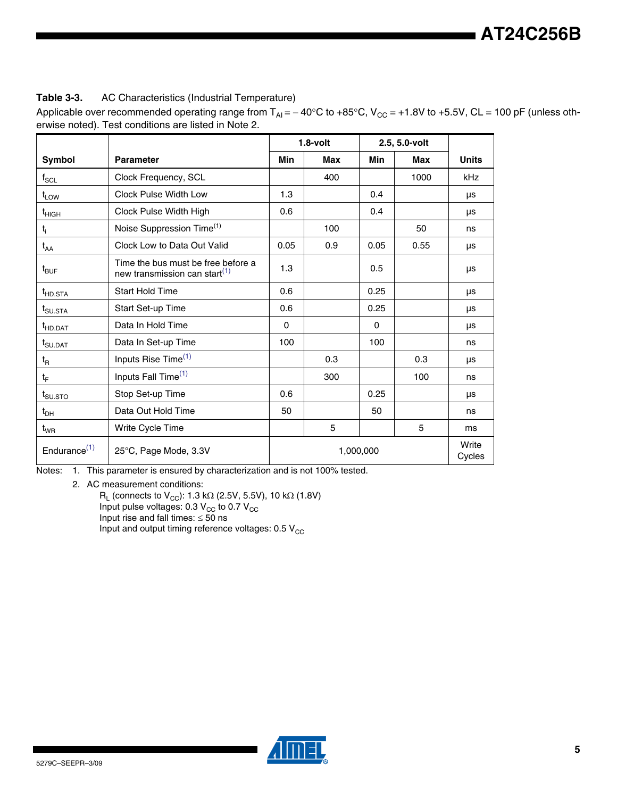#### **Table 3-3.** AC Characteristics (Industrial Temperature)

Applicable over recommended operating range from  $T_{Al} = -40^{\circ}$ C to +85°C, V<sub>CC</sub> = +1.8V to +5.5V, CL = 100 pF (unless otherwise noted). Test conditions are listed in Note 2.

|                                |                                                                                 | $1.8$ -volt  |            | 2.5, 5.0-volt |                 |              |
|--------------------------------|---------------------------------------------------------------------------------|--------------|------------|---------------|-----------------|--------------|
| <b>Symbol</b>                  | <b>Parameter</b>                                                                | <b>Min</b>   | <b>Max</b> | Min           | <b>Max</b>      | <b>Units</b> |
| $f_{\rm SCL}$                  | Clock Frequency, SCL                                                            |              | 400        |               | 1000            | <b>kHz</b>   |
| $t_{LOW}$                      | Clock Pulse Width Low                                                           | 1.3          |            | 0.4           |                 | μs           |
| $t_{HIGH}$                     | Clock Pulse Width High                                                          | 0.6          |            | 0.4           |                 | μs           |
| $t_i$                          | Noise Suppression Time(1)                                                       |              | 100        |               | 50              | ns           |
| $t_{AA}$                       | Clock Low to Data Out Valid                                                     | 0.05         | 0.9        | 0.05          | 0.55            | μs           |
| $t_{\mathsf{BUF}}$             | Time the bus must be free before a<br>new transmission can start <sup>(1)</sup> | 1.3          |            | 0.5           |                 | μs           |
| t <sub>HD.STA</sub>            | <b>Start Hold Time</b>                                                          | 0.6          |            | 0.25          |                 | μs           |
| $t_{\text{SU,STA}}$            | Start Set-up Time                                                               | 0.6          |            | 0.25          |                 | μs           |
| t <sub>HD.DAT</sub>            | Data In Hold Time                                                               | $\mathbf{0}$ |            | $\mathbf{0}$  |                 | μs           |
| $t_{\text{S} \cup \text{DAT}}$ | Data In Set-up Time                                                             | 100          |            | 100           |                 | ns           |
| $t_{\mathsf{R}}$               | Inputs Rise Time <sup>(1)</sup>                                                 |              | 0.3        |               | 0.3             | μs           |
| $t_F$                          | Inputs Fall Time <sup>(1)</sup>                                                 |              | 300        |               | 100             | ns           |
| $t_{\text{SU,STO}}$            | Stop Set-up Time                                                                | 0.6          |            | 0.25          |                 | μs           |
| $t_{DH}$                       | Data Out Hold Time                                                              | 50           |            | 50            |                 | ns           |
| $t_{WR}$                       | Write Cycle Time                                                                |              | 5          |               | 5               | ms           |
| Endurance $(1)$                | 25°C, Page Mode, 3.3V                                                           | 1,000,000    |            |               | Write<br>Cycles |              |

<span id="page-4-0"></span>Notes: 1. This parameter is ensured by characterization and is not 100% tested.

2. AC measurement conditions:

 $R_L$  (connects to  $V_{CC}$ ): 1.3 k $\Omega$  (2.5V, 5.5V), 10 k $\Omega$  (1.8V) Input pulse voltages: 0.3  $\rm V_{CC}$  to 0.7  $\rm V_{CC}$ Input rise and fall times:  $\leq 50$  ns Input and output timing reference voltages:  $0.5 V_{CC}$ 

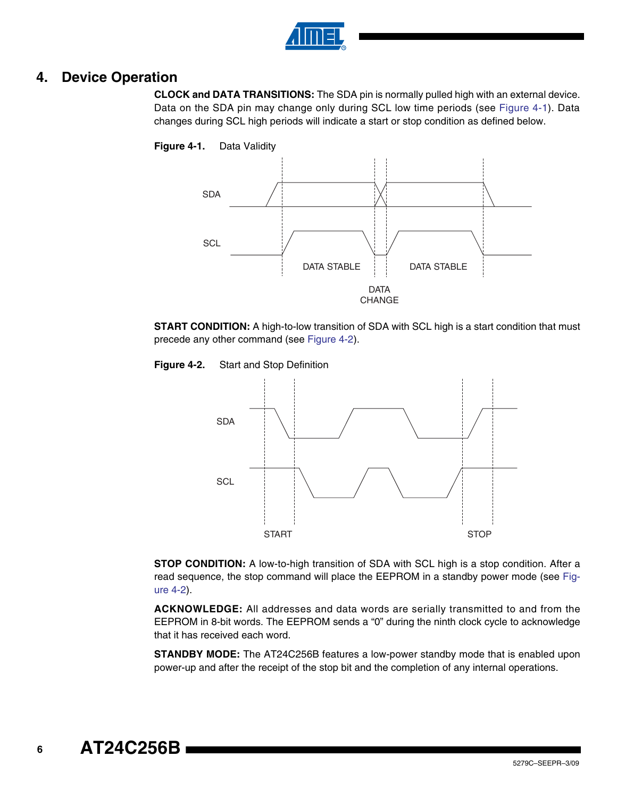

#### **4. Device Operation**

**CLOCK and DATA TRANSITIONS:** The SDA pin is normally pulled high with an external device. Data on the SDA pin may change only during SCL low time periods (see [Figure 4-1\)](#page-5-0). Data changes during SCL high periods will indicate a start or stop condition as defined below.

<span id="page-5-0"></span>



<span id="page-5-1"></span>



**STOP CONDITION:** A low-to-high transition of SDA with SCL high is a stop condition. After a read sequence, the stop command will place the EEPROM in a standby power mode (see [Fig](#page-5-1)[ure 4-2\)](#page-5-1).

**ACKNOWLEDGE:** All addresses and data words are serially transmitted to and from the EEPROM in 8-bit words. The EEPROM sends a "0" during the ninth clock cycle to acknowledge that it has received each word.

**STANDBY MODE:** The AT24C256B features a low-power standby mode that is enabled upon power-up and after the receipt of the stop bit and the completion of any internal operations.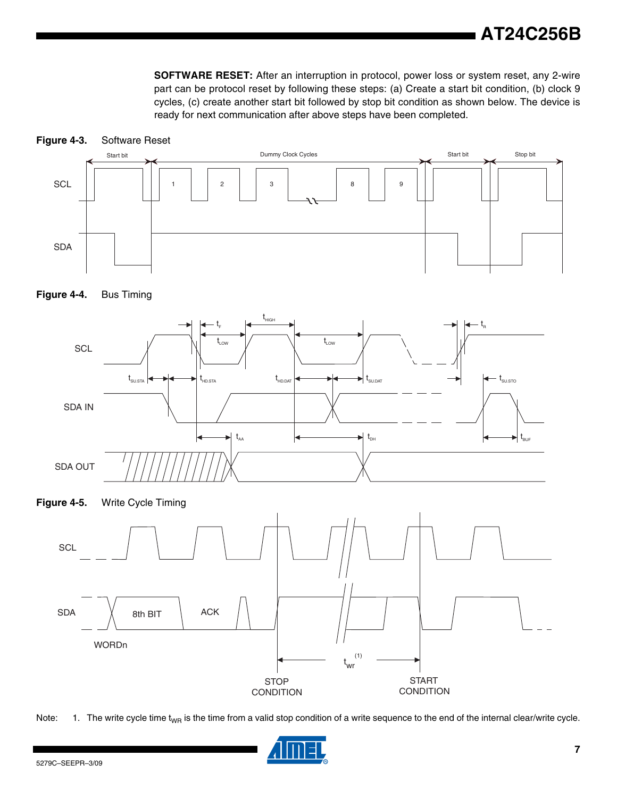**SOFTWARE RESET:** After an interruption in protocol, power loss or system reset, any 2-wire part can be protocol reset by following these steps: (a) Create a start bit condition, (b) clock 9 cycles, (c) create another start bit followed by stop bit condition as shown below. The device is ready for next communication after above steps have been completed.













Note:  $1.$  The write cycle time t<sub>WR</sub> is the time from a valid stop condition of a write sequence to the end of the internal clear/write cycle.

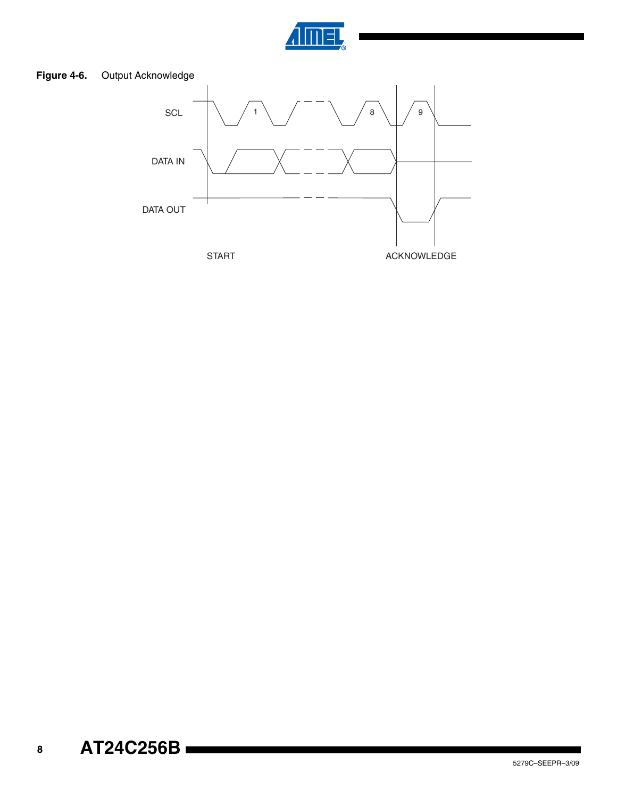

#### **Figure 4-6.** Output Acknowledge



#### **8 AT24C256B**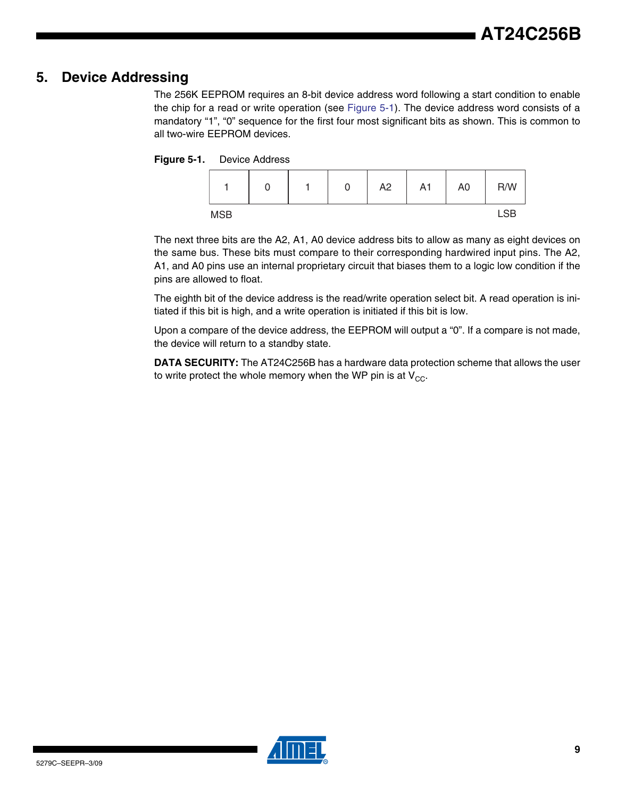#### <span id="page-8-0"></span>**5. Device Addressing**

The 256K EEPROM requires an 8-bit device address word following a start condition to enable the chip for a read or write operation (see [Figure 5-1\)](#page-8-1). The device address word consists of a mandatory "1", "0" sequence for the first four most significant bits as shown. This is common to all two-wire EEPROM devices.

<span id="page-8-1"></span>



The next three bits are the A2, A1, A0 device address bits to allow as many as eight devices on the same bus. These bits must compare to their corresponding hardwired input pins. The A2, A1, and A0 pins use an internal proprietary circuit that biases them to a logic low condition if the pins are allowed to float.

The eighth bit of the device address is the read/write operation select bit. A read operation is initiated if this bit is high, and a write operation is initiated if this bit is low.

Upon a compare of the device address, the EEPROM will output a "0". If a compare is not made, the device will return to a standby state.

**DATA SECURITY:** The AT24C256B has a hardware data protection scheme that allows the user to write protect the whole memory when the WP pin is at  $V_{CC}$ .

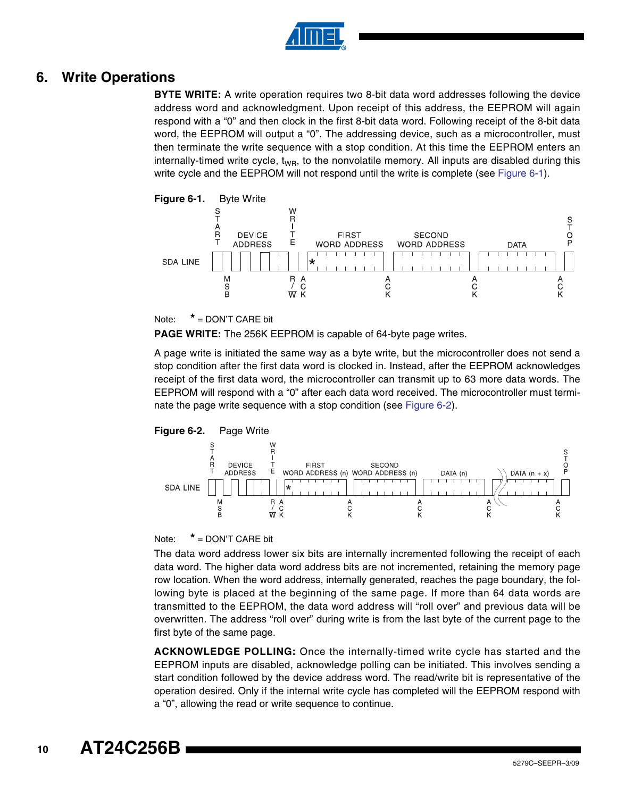

#### **6. Write Operations**

**BYTE WRITE:** A write operation requires two 8-bit data word addresses following the device address word and acknowledgment. Upon receipt of this address, the EEPROM will again respond with a "0" and then clock in the first 8-bit data word. Following receipt of the 8-bit data word, the EEPROM will output a "0". The addressing device, such as a microcontroller, must then terminate the write sequence with a stop condition. At this time the EEPROM enters an internally-timed write cycle,  $t_{WR}$ , to the nonvolatile memory. All inputs are disabled during this write cycle and the EEPROM will not respond until the write is complete (see [Figure 6-1\)](#page-9-0).

<span id="page-9-0"></span>



**PAGE WRITE:** The 256K EEPROM is capable of 64-byte page writes.

A page write is initiated the same way as a byte write, but the microcontroller does not send a stop condition after the first data word is clocked in. Instead, after the EEPROM acknowledges receipt of the first data word, the microcontroller can transmit up to 63 more data words. The EEPROM will respond with a "0" after each data word received. The microcontroller must terminate the page write sequence with a stop condition (see [Figure 6-2](#page-9-1)).

<span id="page-9-1"></span>

#### Note: **\*** = DON'T CARE bit

The data word address lower six bits are internally incremented following the receipt of each data word. The higher data word address bits are not incremented, retaining the memory page row location. When the word address, internally generated, reaches the page boundary, the following byte is placed at the beginning of the same page. If more than 64 data words are transmitted to the EEPROM, the data word address will "roll over" and previous data will be overwritten. The address "roll over" during write is from the last byte of the current page to the first byte of the same page.

**ACKNOWLEDGE POLLING:** Once the internally-timed write cycle has started and the EEPROM inputs are disabled, acknowledge polling can be initiated. This involves sending a start condition followed by the device address word. The read/write bit is representative of the operation desired. Only if the internal write cycle has completed will the EEPROM respond with a "0", allowing the read or write sequence to continue.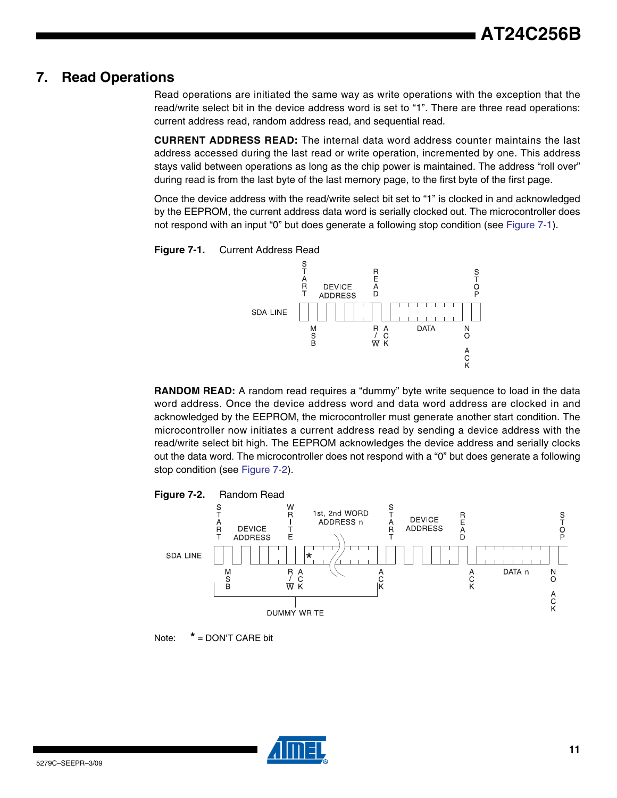#### **7. Read Operations**

Read operations are initiated the same way as write operations with the exception that the read/write select bit in the device address word is set to "1". There are three read operations: current address read, random address read, and sequential read.

**CURRENT ADDRESS READ:** The internal data word address counter maintains the last address accessed during the last read or write operation, incremented by one. This address stays valid between operations as long as the chip power is maintained. The address "roll over" during read is from the last byte of the last memory page, to the first byte of the first page.

Once the device address with the read/write select bit set to "1" is clocked in and acknowledged by the EEPROM, the current address data word is serially clocked out. The microcontroller does not respond with an input "0" but does generate a following stop condition (see [Figure 7-1](#page-10-0)).

<span id="page-10-0"></span>



**RANDOM READ:** A random read requires a "dummy" byte write sequence to load in the data word address. Once the device address word and data word address are clocked in and acknowledged by the EEPROM, the microcontroller must generate another start condition. The microcontroller now initiates a current address read by sending a device address with the read/write select bit high. The EEPROM acknowledges the device address and serially clocks out the data word. The microcontroller does not respond with a "0" but does generate a following stop condition (see [Figure 7-2](#page-10-1)).

<span id="page-10-1"></span>

Note: **\*** = DON'T CARE bit

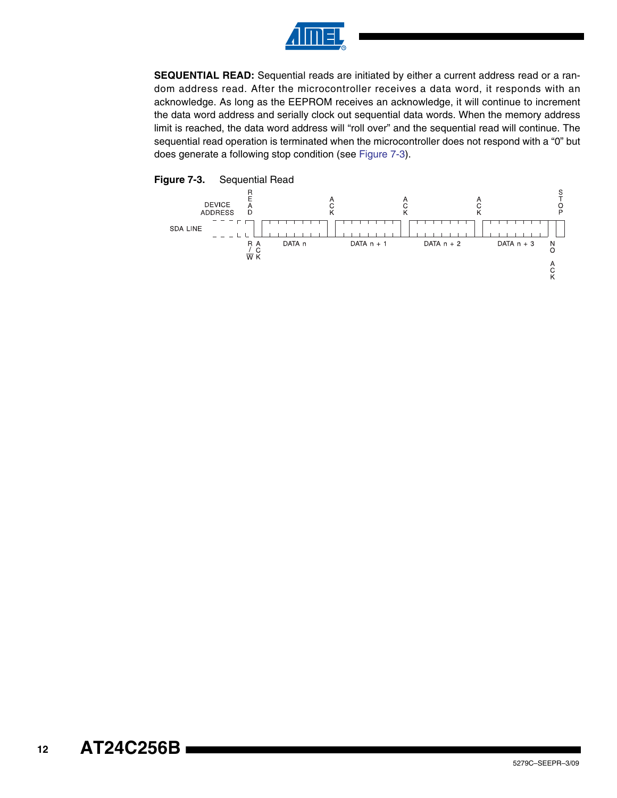

**SEQUENTIAL READ:** Sequential reads are initiated by either a current address read or a random address read. After the microcontroller receives a data word, it responds with an acknowledge. As long as the EEPROM receives an acknowledge, it will continue to increment the data word address and serially clock out sequential data words. When the memory address limit is reached, the data word address will "roll over" and the sequential read will continue. The sequential read operation is terminated when the microcontroller does not respond with a "0" but does generate a following stop condition (see [Figure 7-3](#page-11-0)).

<span id="page-11-0"></span>



#### **12 AT24C256B**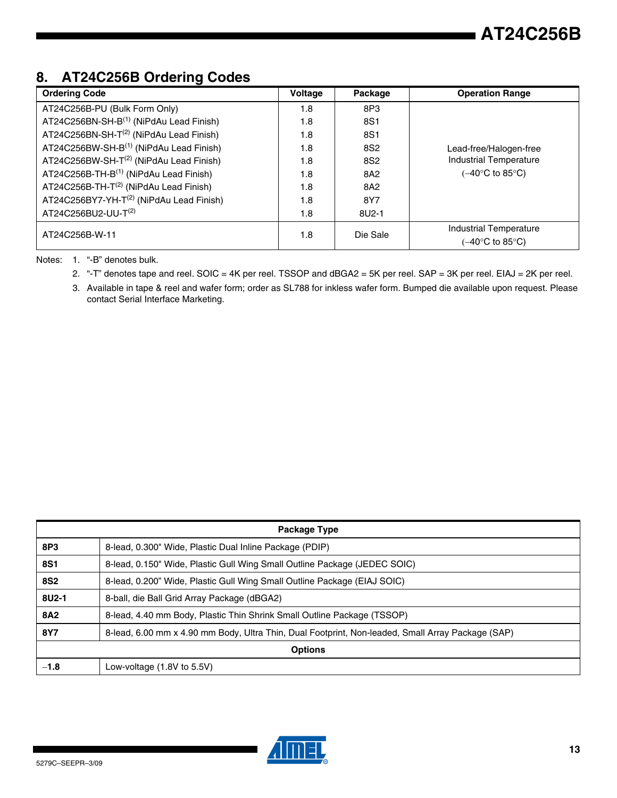## **8. AT24C256B Ordering Codes**

| <b>Ordering Code</b>                                 | <b>Voltage</b> | Package         | <b>Operation Range</b>                    |
|------------------------------------------------------|----------------|-----------------|-------------------------------------------|
| AT24C256B-PU (Bulk Form Only)                        | 1.8            | 8P3             |                                           |
| AT24C256BN-SH-B <sup>(1)</sup> (NiPdAu Lead Finish)  | 1.8            | 8S1             |                                           |
| AT24C256BN-SH-T <sup>(2)</sup> (NiPdAu Lead Finish)  | 1.8            | 8S1             |                                           |
| AT24C256BW-SH-B <sup>(1)</sup> (NiPdAu Lead Finish)  | 1.8            | 8S <sub>2</sub> | Lead-free/Halogen-free                    |
| AT24C256BW-SH-T <sup>(2)</sup> (NiPdAu Lead Finish)  | 1.8            | 8S <sub>2</sub> | <b>Industrial Temperature</b>             |
| AT24C256B-TH-B <sup>(1)</sup> (NiPdAu Lead Finish)   | 1.8            | 8A2             | $(-40^{\circ}$ C to 85 $^{\circ}$ C)      |
| AT24C256B-TH-T <sup>(2)</sup> (NiPdAu Lead Finish)   | 1.8            | 8A2             |                                           |
| AT24C256BY7-YH-T <sup>(2)</sup> (NiPdAu Lead Finish) | 1.8            | 8Y7             |                                           |
| AT24C256BU2-UU-T(2)                                  | 1.8            | $8U2-1$         |                                           |
| AT24C256B-W-11                                       | 1.8            | Die Sale        | Industrial Temperature<br>(–40°C to 85°C) |

Notes: 1. "-B" denotes bulk.

2. "-T" denotes tape and reel. SOIC = 4K per reel. TSSOP and dBGA2 = 5K per reel. SAP = 3K per reel. EIAJ = 2K per reel.

3. Available in tape & reel and wafer form; order as SL788 for inkless wafer form. Bumped die available upon request. Please contact Serial Interface Marketing.

|                | Package Type                                                                                      |  |  |  |  |
|----------------|---------------------------------------------------------------------------------------------------|--|--|--|--|
| 8P3            | 8-lead, 0.300" Wide, Plastic Dual Inline Package (PDIP)                                           |  |  |  |  |
| <b>8S1</b>     | 8-lead, 0.150" Wide, Plastic Gull Wing Small Outline Package (JEDEC SOIC)                         |  |  |  |  |
| <b>8S2</b>     | 8-lead, 0.200" Wide, Plastic Gull Wing Small Outline Package (EIAJ SOIC)                          |  |  |  |  |
| 8U2-1          | 8-ball, die Ball Grid Array Package (dBGA2)                                                       |  |  |  |  |
| <b>8A2</b>     | 8-lead, 4.40 mm Body, Plastic Thin Shrink Small Outline Package (TSSOP)                           |  |  |  |  |
| 8Y7            | 8-lead, 6.00 mm x 4.90 mm Body, Ultra Thin, Dual Footprint, Non-leaded, Small Array Package (SAP) |  |  |  |  |
| <b>Options</b> |                                                                                                   |  |  |  |  |
| $-1.8$         | Low-voltage $(1.8V)$ to 5.5V)                                                                     |  |  |  |  |

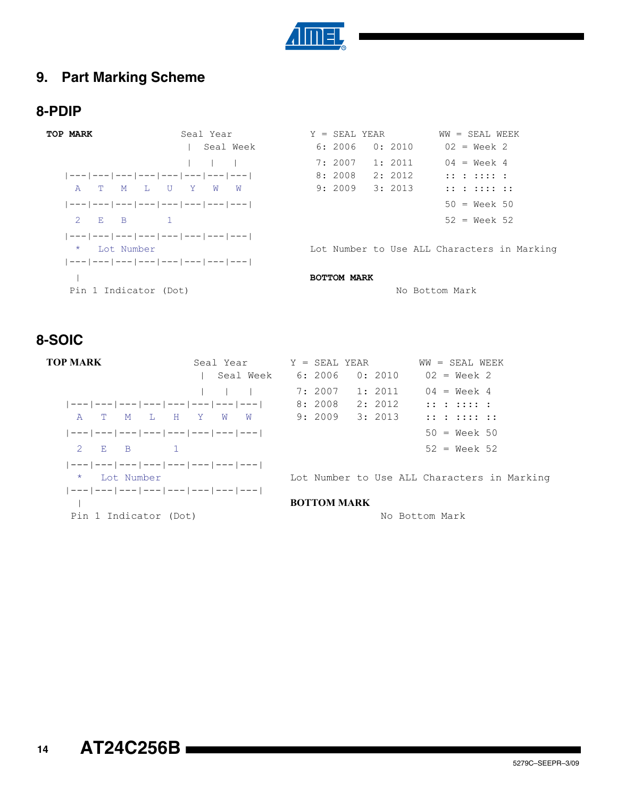

## **9. Part Marking Scheme**

## **8-PDIP**

| TOP MARK                                      | Seal Year | Y = SEAL YEAR      |         | $WW = SEAL WEEK$                                                                                                                                                                                                                                                                                                                                                                                                       |  |
|-----------------------------------------------|-----------|--------------------|---------|------------------------------------------------------------------------------------------------------------------------------------------------------------------------------------------------------------------------------------------------------------------------------------------------------------------------------------------------------------------------------------------------------------------------|--|
|                                               | Seal Week | 6:2006             | 0:2010  | $02 =$ Week 2                                                                                                                                                                                                                                                                                                                                                                                                          |  |
|                                               |           | 7: 2007 1: 2011    |         | $04 =$ Week 4                                                                                                                                                                                                                                                                                                                                                                                                          |  |
| ---   ---   ---   ---   ---   ---   ---   --- |           | 8:2008             | 2: 2012 |                                                                                                                                                                                                                                                                                                                                                                                                                        |  |
| ATMLUY WW                                     |           | 9:2009             | 3:2013  | $\mathbf{1} \mathbf{1} \mathbf{1} \mathbf{1} \mathbf{1} \mathbf{1} \mathbf{1} \mathbf{1} \mathbf{1} \mathbf{1} \mathbf{1} \mathbf{1} \mathbf{1} \mathbf{1} \mathbf{1} \mathbf{1} \mathbf{1} \mathbf{1} \mathbf{1} \mathbf{1} \mathbf{1} \mathbf{1} \mathbf{1} \mathbf{1} \mathbf{1} \mathbf{1} \mathbf{1} \mathbf{1} \mathbf{1} \mathbf{1} \mathbf{1} \mathbf{1} \mathbf{1} \mathbf{1} \mathbf{1} \mathbf{1} \mathbf{$ |  |
| ---   ---   ---   ---   ---   ---   ---   --- |           |                    |         | $50 =$ Week 50                                                                                                                                                                                                                                                                                                                                                                                                         |  |
| $2$ E B<br>1                                  |           |                    |         | $52 =$ Week 52                                                                                                                                                                                                                                                                                                                                                                                                         |  |
| ---   ---   ---   ---   ---   ---   ---   --- |           |                    |         |                                                                                                                                                                                                                                                                                                                                                                                                                        |  |
| * Lot Number                                  |           |                    |         | Lot Number to Use ALL Characters in N                                                                                                                                                                                                                                                                                                                                                                                  |  |
| ---   ---   ---   ---   ---   ---   ---   --- |           |                    |         |                                                                                                                                                                                                                                                                                                                                                                                                                        |  |
|                                               |           | <b>BOTTOM MARK</b> |         |                                                                                                                                                                                                                                                                                                                                                                                                                        |  |
| Pin 1 Indicator (Dot)                         |           |                    |         | No Bottom Mark                                                                                                                                                                                                                                                                                                                                                                                                         |  |
|                                               |           |                    |         |                                                                                                                                                                                                                                                                                                                                                                                                                        |  |

| Seal Year                         |         | Y = SEAL YEAR   | $WW = SEAL WEREK$                                                                                                                 |
|-----------------------------------|---------|-----------------|-----------------------------------------------------------------------------------------------------------------------------------|
| Seal Week                         |         | 6: 2006 0: 2010 | $02 =$ Week 2                                                                                                                     |
| $\sim$ 1 $\sim$ 1 $\sim$ 1 $\sim$ |         | 7: 2007 1: 2011 | $04 =$ Week 4                                                                                                                     |
| -- --- --- ---                    | 8: 2008 | 2: 2012         | $\mathbf{1}$ $\mathbf{1}$ $\mathbf{1}$ $\mathbf{1}$ $\mathbf{1}$ $\mathbf{1}$ $\mathbf{1}$ $\mathbf{1}$ $\mathbf{1}$              |
| JY W W                            | 9: 2009 | 3: 2013         | $\mathbf{1}$ $\mathbf{1}$ $\mathbf{1}$ $\mathbf{1}$ $\mathbf{1}$ $\mathbf{1}$ $\mathbf{1}$ $\mathbf{1}$ $\mathbf{1}$ $\mathbf{1}$ |
| -- --- --- ---                    |         |                 | $50 =$ Week 50                                                                                                                    |
|                                   |         |                 | $52 =$ Week 52                                                                                                                    |
|                                   |         |                 |                                                                                                                                   |

Lot Number to Use ALL Characters in Marking

## **8-SOIC**

**TOP MARK** Seal Year Y | Seal Week 6 | | | 7: 2007 1: 2011 04 = Week 4 |---|---|---|---|---|---|---| 8 A T M L H Y W W 9  $|---|---|---|---|---|---|---|---|---|---|$ 2 E B 1 |---|---|---|---|---|---|---|---| |---|---|---|---|---|---|---|---| | **BOTTOM MARK** Pin 1 Indicator (Dot) No Bottom Mark

| $=$ SEAL YEAR |         | WW = SEAL WEEK |
|---------------|---------|----------------|
| : 2006        | 0: 2010 | $02 =$ Week 2  |
| : 2007        | 1:2011  | $04 =$ Week 4  |
| : 2008        | 2:2012  | .              |
| : 2009        | 3:2013  | :: : :::: ::   |
|               |         | $50 =$ Week 50 |
|               |         | $52 =$ Week 52 |
|               |         |                |

\* Lot Number Lot Number to Use ALL Characters in Marking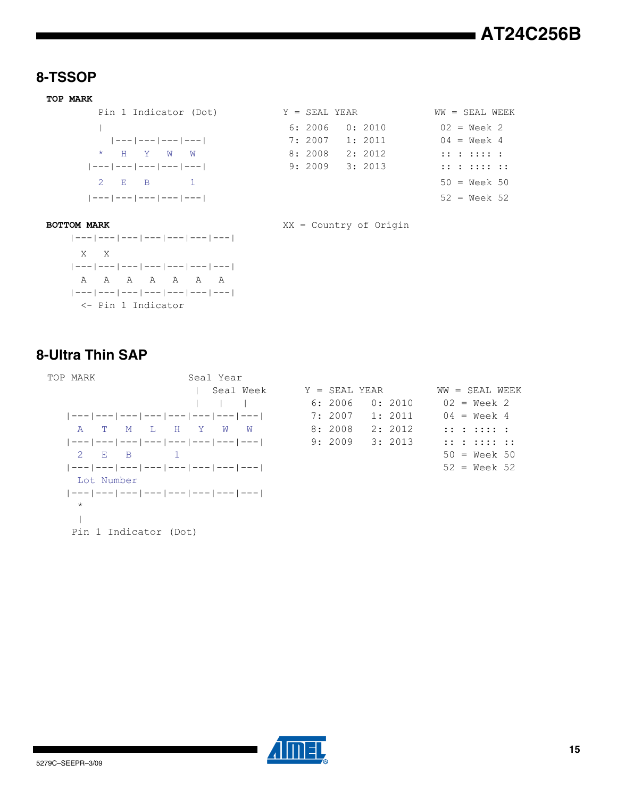### **8-TSSOP**

#### **TOP MARK**

```
Pin 1 Indicator (Dot) Y = SEAL YEAR WW = SEAL WEEK
  | 6: 2006 0: 2010 02 = Week 2
  |---|---|---|---| 7: 2007 1: 2011 04 = Week 4
 * H Y W W 8: 2008 2: 2012 :::::::::
|-|-|-|-|-|-|-|-|-| 9: 2009 3: 2013 :: ::::: ::
2 E B 1 50 = Week 50
 |---|---|---|---|---| 52 = Week 52
```

```
 |---|---|---|---|---|---|---|
  X X 
 |---|---|---|---|---|---|---|
  A A A A A A A
 |---|---|---|---|---|---|---|
  <- Pin 1 Indicator
```
**BOTTOM MARK** XX = Country of Origin

## **8-Ultra Thin SAP**

| TOP MARK                                      | Seal Year |         |               |         |                                                                                                                       |
|-----------------------------------------------|-----------|---------|---------------|---------|-----------------------------------------------------------------------------------------------------------------------|
|                                               | Seal Week |         | Y = SEAL YEAR |         | $WW =$ SEAL WEEK                                                                                                      |
|                                               |           | 6:2006  |               | 0:2010  | $02 =$ Week 2                                                                                                         |
| --- --- --- --- --- --- --- ---               |           | 7: 2007 |               | 1: 2011 | $04 =$ Week 4                                                                                                         |
| A T M                                         | LHY WW    | 8:2008  |               | 2: 2012 |                                                                                                                       |
|                                               |           | 9:2009  |               | 3:2013  | $\mathbf{1} \mathbf{1}$ $\mathbf{1} \mathbf{1}$ $\mathbf{1} \mathbf{1} \mathbf{1}$ $\mathbf{1} \mathbf{1} \mathbf{1}$ |
| $2 E$ B                                       |           |         |               |         | $50 = \text{Week } 50$                                                                                                |
| ---   ---   ---   ---   ---   ---   ---   --- |           |         |               |         | $52 = \text{Week } 52$                                                                                                |
| Lot Number                                    |           |         |               |         |                                                                                                                       |
| --- --- --- --- --- --- --- ---               |           |         |               |         |                                                                                                                       |
| $\star$                                       |           |         |               |         |                                                                                                                       |
|                                               |           |         |               |         |                                                                                                                       |
| Pin 1 Indicator (Dot)                         |           |         |               |         |                                                                                                                       |

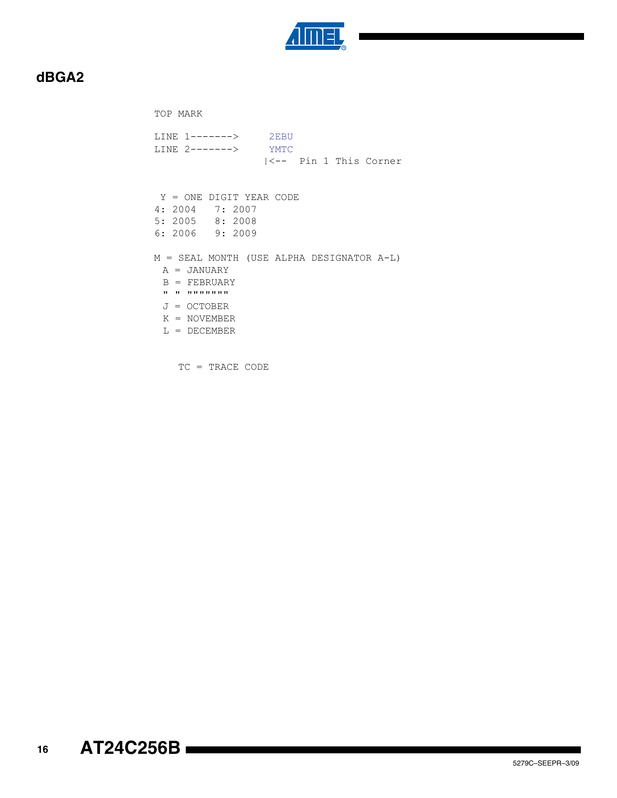

### **dBGA2**

TOP MARK LINE 1-------> 2EBU LINE 2-------> YMTC |<-- Pin 1 This Corner Y = ONE DIGIT YEAR CODE 4: 2004 7: 2007 5: 2005 8: 2008 6: 2006 9: 2009 M = SEAL MONTH (USE ALPHA DESIGNATOR A-L) A = JANUARY B = FEBRUARY  $\boldsymbol{u} = \boldsymbol{u} - \boldsymbol{u}$ u u u u u u u J = OCTOBER K = NOVEMBER L = DECEMBER

TC = TRACE CODE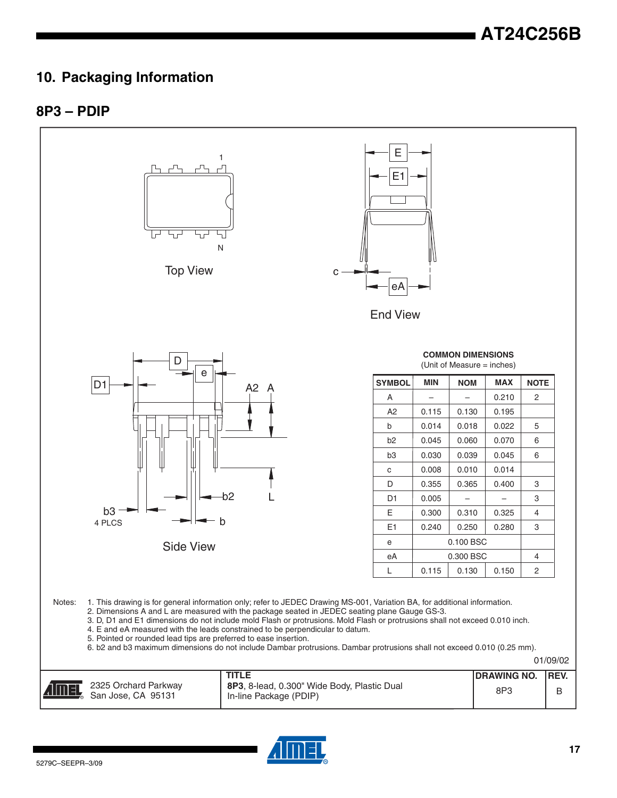## **10. Packaging Information**

#### **8P3 – PDIP**



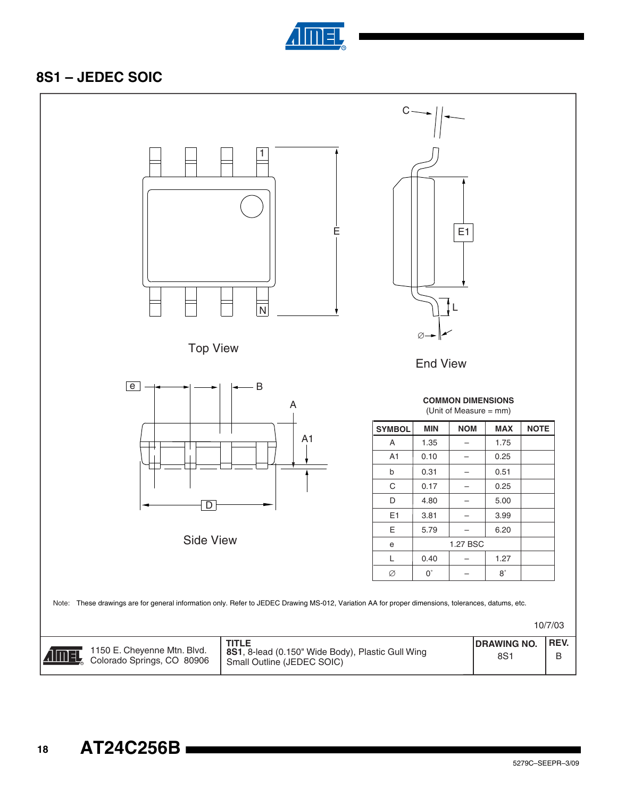

## **8S1 – JEDEC SOIC**

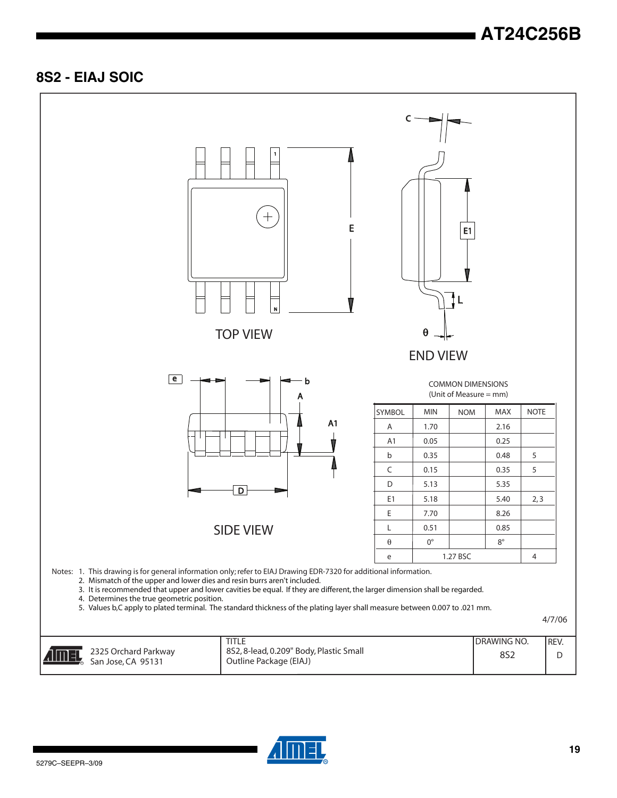# **AT24C256B**

#### **8S2 - EIAJ SOIC**



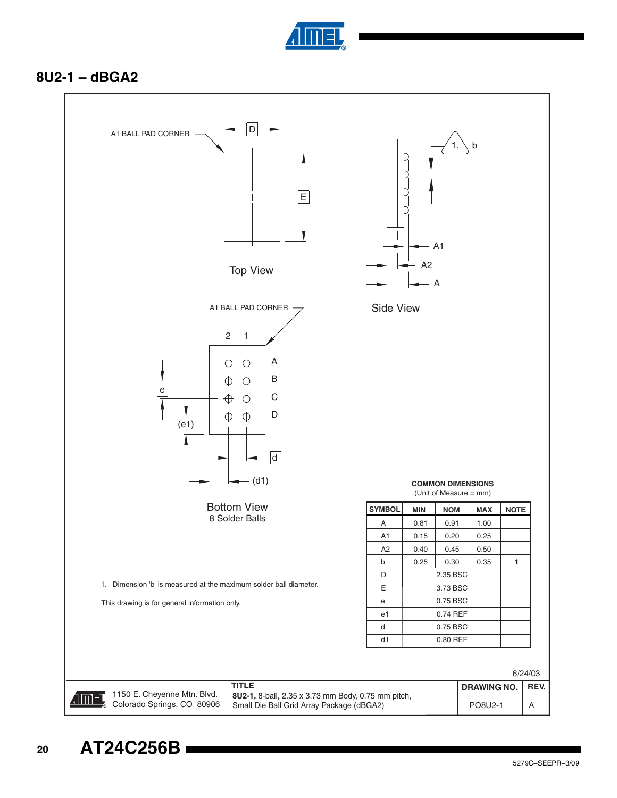

#### **8U2-1 – dBGA2**



**AT24C256B**

**20**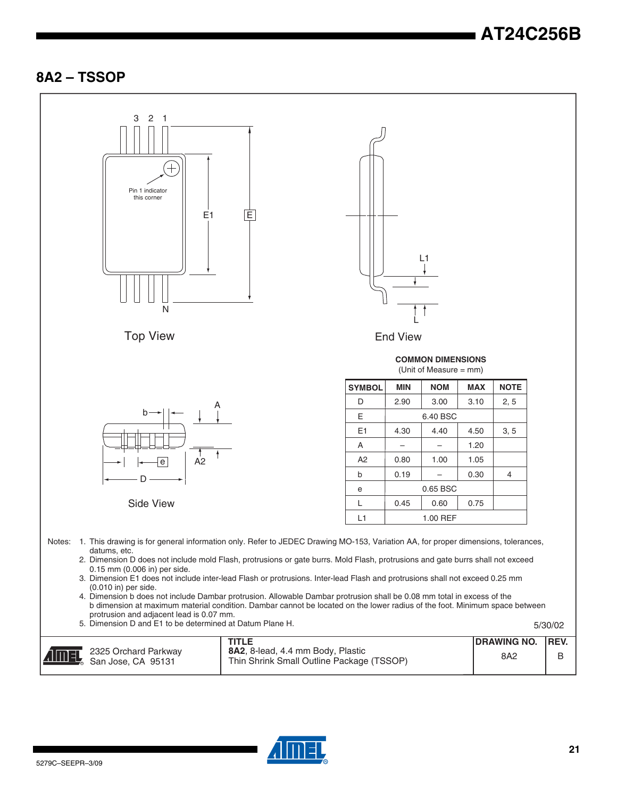#### **8A2 – TSSOP**



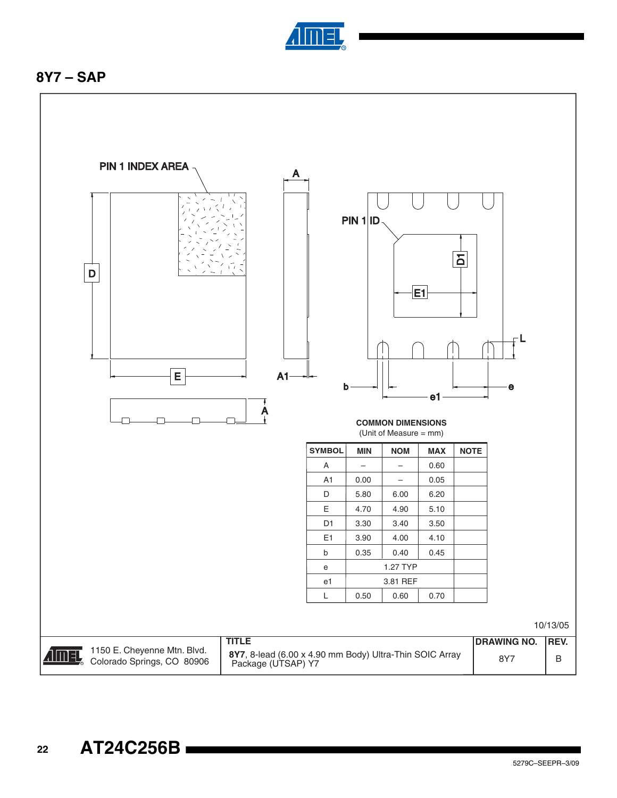

#### **8Y7 – SAP**

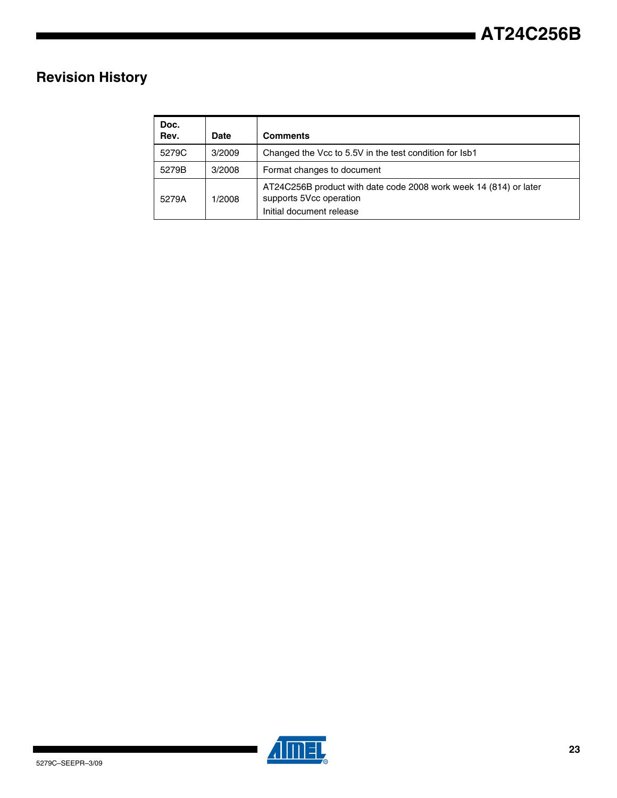# **Revision History**

| Doc.<br>Rev. | <b>Date</b> | <b>Comments</b>                                                                                                          |
|--------------|-------------|--------------------------------------------------------------------------------------------------------------------------|
| 5279C        | 3/2009      | Changed the Vcc to 5.5V in the test condition for Isb1                                                                   |
| 5279B        | 3/2008      | Format changes to document                                                                                               |
| 5279A        | 1/2008      | AT24C256B product with date code 2008 work week 14 (814) or later<br>supports 5Vcc operation<br>Initial document release |

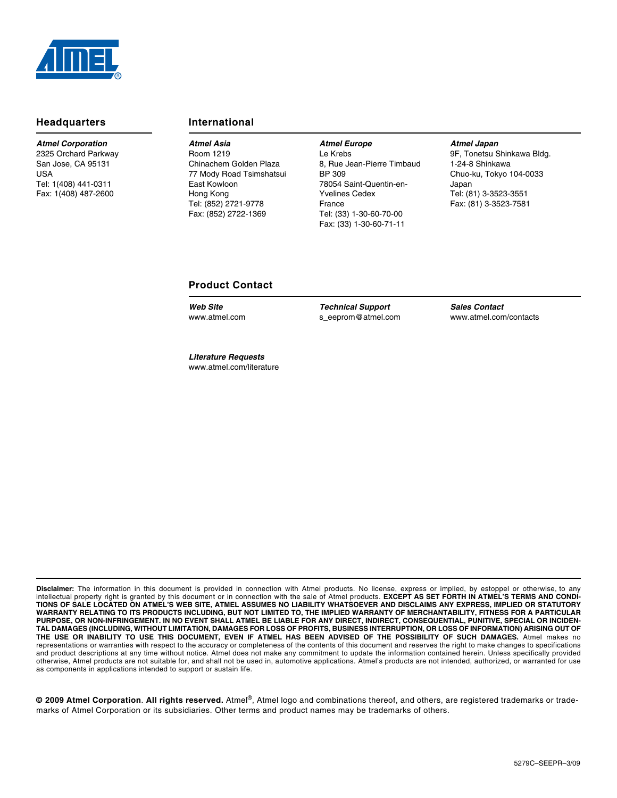

#### **Headquarters International**

*Atmel Corporation* 2325 Orchard Parkway San Jose, CA 95131 USA Tel: 1(408) 441-0311 Fax: 1(408) 487-2600

*Atmel Asia* Room 1219 Chinachem Golden Plaza 77 Mody Road Tsimshatsui East Kowloon Hong Kong Tel: (852) 2721-9778 Fax: (852) 2722-1369

*Atmel Europe* Le Krebs 8, Rue Jean-Pierre Timbaud BP 309 78054 Saint-Quentin-en-Yvelines Cedex France Tel: (33) 1-30-60-70-00 Fax: (33) 1-30-60-71-11

#### *Atmel Japan*

9F, Tonetsu Shinkawa Bldg. 1-24-8 Shinkawa Chuo-ku, Tokyo 104-0033 Japan Tel: (81) 3-3523-3551 Fax: (81) 3-3523-7581

#### **Product Contact**

*Web Site* www.atmel.com

*Technical Support* s\_eeprom@atmel.com *Sales Contact* www.atmel.com/contacts

*Literature Requests* www.atmel.com/literature

**Disclaimer:** The information in this document is provided in connection with Atmel products. No license, express or implied, by estoppel or otherwise, to any intellectual property right is granted by this document or in connection with the sale of Atmel products. **EXCEPT AS SET FORTH IN ATMEL'S TERMS AND CONDI-TIONS OF SALE LOCATED ON ATMEL'S WEB SITE, ATMEL ASSUMES NO LIABILITY WHATSOEVER AND DISCLAIMS ANY EXPRESS, IMPLIED OR STATUTORY WARRANTY RELATING TO ITS PRODUCTS INCLUDING, BUT NOT LIMITED TO, THE IMPLIED WARRANTY OF MERCHANTABILITY, FITNESS FOR A PARTICULAR PURPOSE, OR NON-INFRINGEMENT. IN NO EVENT SHALL ATMEL BE LIABLE FOR ANY DIRECT, INDIRECT, CONSEQUENTIAL, PUNITIVE, SPECIAL OR INCIDEN-TAL DAMAGES (INCLUDING, WITHOUT LIMITATION, DAMAGES FOR LOSS OF PROFITS, BUSINESS INTERRUPTION, OR LOSS OF INFORMATION) ARISING OUT OF THE USE OR INABILITY TO USE THIS DOCUMENT, EVEN IF ATMEL HAS BEEN ADVISED OF THE POSSIBILITY OF SUCH DAMAGES.** Atmel makes no representations or warranties with respect to the accuracy or completeness of the contents of this document and reserves the right to make changes to specifications and product descriptions at any time without notice. Atmel does not make any commitment to update the information contained herein. Unless specifically provided otherwise, Atmel products are not suitable for, and shall not be used in, automotive applications. Atmel's products are not intended, authorized, or warranted for use as components in applications intended to support or sustain life.

© 2009 Atmel Corporation. All rights reserved. Atmel<sup>®</sup>, Atmel logo and combinations thereof, and others, are registered trademarks or trademarks of Atmel Corporation or its subsidiaries. Other terms and product names may be trademarks of others.